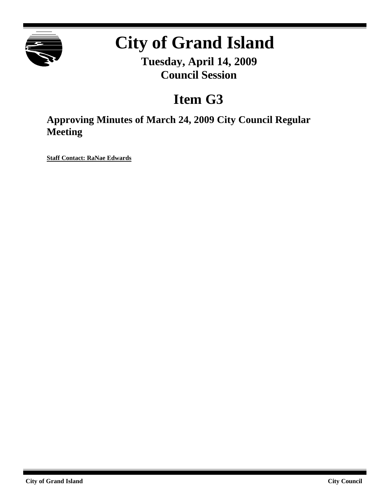

# **City of Grand Island**

**Tuesday, April 14, 2009 Council Session**

# **Item G3**

**Approving Minutes of March 24, 2009 City Council Regular Meeting**

**Staff Contact: RaNae Edwards**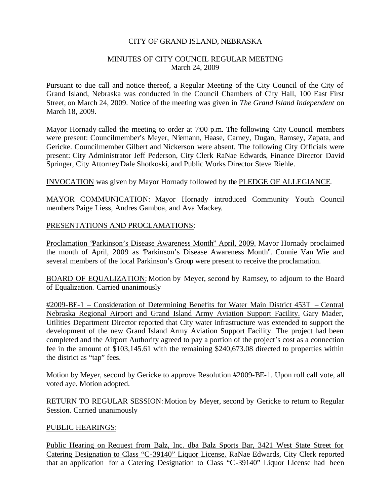#### CITY OF GRAND ISLAND, NEBRASKA

#### MINUTES OF CITY COUNCIL REGULAR MEETING March 24, 2009

Pursuant to due call and notice thereof, a Regular Meeting of the City Council of the City of Grand Island, Nebraska was conducted in the Council Chambers of City Hall, 100 East First Street, on March 24, 2009. Notice of the meeting was given in *The Grand Island Independent* on March 18, 2009.

Mayor Hornady called the meeting to order at 7:00 p.m. The following City Council members were present: Councilmember's Meyer, Niemann, Haase, Carney, Dugan, Ramsey, Zapata, and Gericke. Councilmember Gilbert and Nickerson were absent. The following City Officials were present: City Administrator Jeff Pederson, City Clerk RaNae Edwards, Finance Director David Springer, City AttorneyDale Shotkoski, and Public Works Director Steve Riehle.

INVOCATION was given by Mayor Hornady followed by the PLEDGE OF ALLEGIANCE.

MAYOR COMMUNICATION: Mayor Hornady introduced Community Youth Council members Paige Liess, Andres Gamboa, and Ava Mackey.

#### PRESENTATIONS AND PROCLAMATIONS:

Proclamation "Parkinson's Disease Awareness Month" April, 2009. Mayor Hornady proclaimed the month of April, 2009 as "Parkinson's Disease Awareness Month". Connie Van Wie and several members of the local Parkinson's Group were present to receive the proclamation.

BOARD OF EQUALIZATION: Motion by Meyer, second by Ramsey, to adjourn to the Board of Equalization. Carried unanimously

#2009-BE-1 – Consideration of Determining Benefits for Water Main District 453T – Central Nebraska Regional Airport and Grand Island Army Aviation Support Facility. Gary Mader, Utilities Department Director reported that City water infrastructure was extended to support the development of the new Grand Island Army Aviation Support Facility. The project had been completed and the Airport Authority agreed to pay a portion of the project's cost as a connection fee in the amount of \$103,145.61 with the remaining \$240,673.08 directed to properties within the district as "tap" fees.

Motion by Meyer, second by Gericke to approve Resolution #2009-BE-1. Upon roll call vote, all voted aye. Motion adopted.

RETURN TO REGULAR SESSION: Motion by Meyer, second by Gericke to return to Regular Session. Carried unanimously

# PUBLIC HEARINGS:

Public Hearing on Request from Balz, Inc. dba Balz Sports Bar, 3421 West State Street for Catering Designation to Class "C-39140" Liquor License. RaNae Edwards, City Clerk reported that an application for a Catering Designation to Class "C-39140" Liquor License had been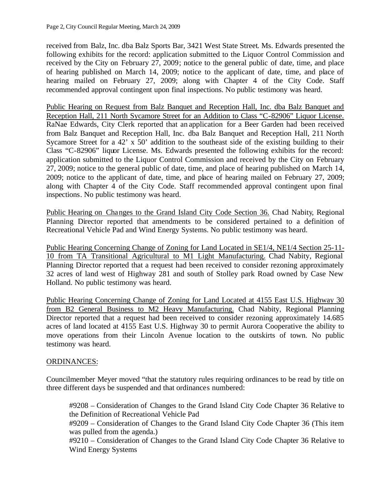received from Balz, Inc. dba Balz Sports Bar, 3421 West State Street. Ms. Edwards presented the following exhibits for the record: application submitted to the Liquor Control Commission and received by the City on February 27, 2009; notice to the general public of date, time, and place of hearing published on March 14, 2009; notice to the applicant of date, time, and place of hearing mailed on February 27, 2009; along with Chapter 4 of the City Code. Staff recommended approval contingent upon final inspections. No public testimony was heard.

Public Hearing on Request from Balz Banquet and Reception Hall, Inc. dba Balz Banquet and Reception Hall, 211 North Sycamore Street for an Addition to Class "C-82906" Liquor License. RaNae Edwards, City Clerk reported that an application for a Beer Garden had been received from Balz Banquet and Reception Hall, Inc. dba Balz Banquet and Reception Hall, 211 North Sycamore Street for a 42' x 50' addition to the southeast side of the existing building to their Class "C-82906" liquor License. Ms. Edwards presented the following exhibits for the record: application submitted to the Liquor Control Commission and received by the City on February 27, 2009; notice to the general public of date, time, and place of hearing published on March 14, 2009; notice to the applicant of date, time, and place of hearing mailed on February 27, 2009; along with Chapter 4 of the City Code. Staff recommended approval contingent upon final inspections. No public testimony was heard.

Public Hearing on Changes to the Grand Island City Code Section 36. Chad Nabity, Regional Planning Director reported that amendments to be considered pertained to a definition of Recreational Vehicle Pad and Wind Energy Systems. No public testimony was heard.

Public Hearing Concerning Change of Zoning for Land Located in SE1/4, NE1/4 Section 25-11- 10 from TA Transitional Agricultural to M1 Light Manufacturing. Chad Nabity, Regional Planning Director reported that a request had been received to consider rezoning approximately 32 acres of land west of Highway 281 and south of Stolley park Road owned by Case New Holland. No public testimony was heard.

Public Hearing Concerning Change of Zoning for Land Located at 4155 East U.S. Highway 30 from B2 General Business to M2 Heavy Manufacturing. Chad Nabity, Regional Planning Director reported that a request had been received to consider rezoning approximately 14.685 acres of land located at 4155 East U.S. Highway 30 to permit Aurora Cooperative the ability to move operations from their Lincoln Avenue location to the outskirts of town. No public testimony was heard.

# ORDINANCES:

Councilmember Meyer moved "that the statutory rules requiring ordinances to be read by title on three different days be suspended and that ordinances numbered:

#9208 – Consideration of Changes to the Grand Island City Code Chapter 36 Relative to the Definition of Recreational Vehicle Pad

#9209 – Consideration of Changes to the Grand Island City Code Chapter 36 (This item was pulled from the agenda.)

#9210 – Consideration of Changes to the Grand Island City Code Chapter 36 Relative to Wind Energy Systems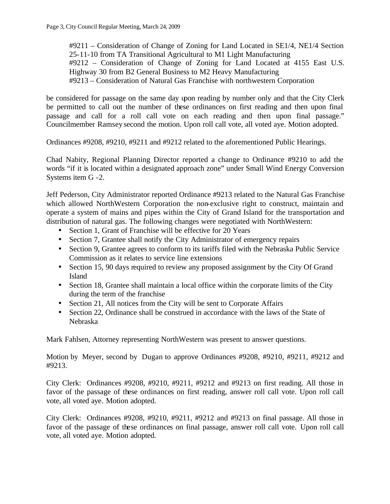#9211 – Consideration of Change of Zoning for Land Located in SE1/4, NE1/4 Section 25-11-10 from TA Transitional Agricultural to M1 Light Manufacturing #9212 – Consideration of Change of Zoning for Land Located at 4155 East U.S. Highway 30 from B2 General Business to M2 Heavy Manufacturing #9213 – Consideration of Natural Gas Franchise with northwestern Corporation

be considered for passage on the same day upon reading by number only and that the City Clerk be permitted to call out the number of these ordinances on first reading and then upon final passage and call for a roll call vote on each reading and then upon final passage." Councilmember Ramsey second the motion. Upon roll call vote, all voted aye. Motion adopted.

Ordinances #9208, #9210, #9211 and #9212 related to the aforementioned Public Hearings.

Chad Nabity, Regional Planning Director reported a change to Ordinance #9210 to add the words "if it is located within a designated approach zone" under Small Wind Energy Conversion Systems item G -2.

Jeff Pederson, City Administrator reported Ordinance #9213 related to the Natural Gas Franchise which allowed NorthWestern Corporation the non-exclusive right to construct, maintain and operate a system of mains and pipes within the City of Grand Island for the transportation and distribution of natural gas. The following changes were negotiated with NorthWestern:

- Section 1, Grant of Franchise will be effective for 20 Years
- Section 7, Grantee shall notify the City Administrator of emergency repairs
- Section 9, Grantee agrees to conform to its tariffs filed with the Nebraska Public Service Commission as it relates to service line extensions
- Section 15, 90 days required to review any proposed assignment by the City Of Grand Island
- Section 18, Grantee shall maintain a local office within the corporate limits of the City during the term of the franchise
- Section 21, All notices from the City will be sent to Corporate Affairs
- Section 22, Ordinance shall be construed in accordance with the laws of the State of Nebraska

Mark Fahlsen, Attorney representing NorthWestern was present to answer questions.

Motion by Meyer, second by Dugan to approve Ordinances #9208, #9210, #9211, #9212 and #9213.

City Clerk: Ordinances #9208, #9210, #9211, #9212 and #9213 on first reading. All those in favor of the passage of these ordinances on first reading, answer roll call vote. Upon roll call vote, all voted aye. Motion adopted.

City Clerk: Ordinances #9208, #9210, #9211, #9212 and #9213 on final passage. All those in favor of the passage of these ordinances on final passage, answer roll call vote. Upon roll call vote, all voted aye. Motion adopted.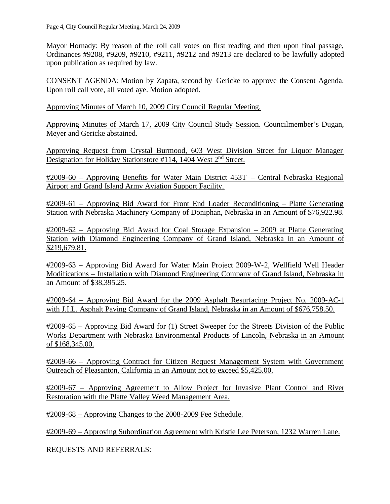Mayor Hornady: By reason of the roll call votes on first reading and then upon final passage, Ordinances #9208, #9209, #9210, #9211, #9212 and #9213 are declared to be lawfully adopted upon publication as required by law.

CONSENT AGENDA: Motion by Zapata, second by Gericke to approve the Consent Agenda. Upon roll call vote, all voted aye. Motion adopted.

Approving Minutes of March 10, 2009 City Council Regular Meeting.

Approving Minutes of March 17, 2009 City Council Study Session. Councilmember's Dugan, Meyer and Gericke abstained.

Approving Request from Crystal Burmood, 603 West Division Street for Liquor Manager Designation for Holiday Stationstore #114, 1404 West  $2<sup>nd</sup>$  Street.

#2009-60 – Approving Benefits for Water Main District 453T – Central Nebraska Regional Airport and Grand Island Army Aviation Support Facility.

#2009-61 – Approving Bid Award for Front End Loader Reconditioning – Platte Generating Station with Nebraska Machinery Company of Doniphan, Nebraska in an Amount of \$76,922.98.

#2009-62 – Approving Bid Award for Coal Storage Expansion – 2009 at Platte Generating Station with Diamond Engineering Company of Grand Island, Nebraska in an Amount of \$219,679.81.

#2009-63 – Approving Bid Award for Water Main Project 2009-W-2, Wellfield Well Header Modifications – Installation with Diamond Engineering Company of Grand Island, Nebraska in an Amount of \$38,395.25.

#2009-64 – Approving Bid Award for the 2009 Asphalt Resurfacing Project No. 2009-AC-1 with J.I.L. Asphalt Paving Company of Grand Island, Nebraska in an Amount of \$676,758.50.

#2009-65 – Approving Bid Award for (1) Street Sweeper for the Streets Division of the Public Works Department with Nebraska Environmental Products of Lincoln, Nebraska in an Amount of \$168,345.00.

#2009-66 – Approving Contract for Citizen Request Management System with Government Outreach of Pleasanton, California in an Amount not to exceed \$5,425.00.

#2009-67 – Approving Agreement to Allow Project for Invasive Plant Control and River Restoration with the Platte Valley Weed Management Area.

#2009-68 – Approving Changes to the 2008-2009 Fee Schedule.

#2009-69 – Approving Subordination Agreement with Kristie Lee Peterson, 1232 Warren Lane.

REQUESTS AND REFERRALS: